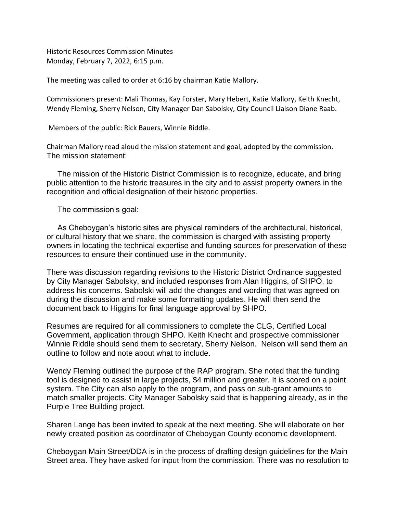Historic Resources Commission Minutes Monday, February 7, 2022, 6:15 p.m.

The meeting was called to order at 6:16 by chairman Katie Mallory.

Commissioners present: Mali Thomas, Kay Forster, Mary Hebert, Katie Mallory, Keith Knecht, Wendy Fleming, Sherry Nelson, City Manager Dan Sabolsky, City Council Liaison Diane Raab.

Members of the public: Rick Bauers, Winnie Riddle.

Chairman Mallory read aloud the mission statement and goal, adopted by the commission. The mission statement:

 The mission of the Historic District Commission is to recognize, educate, and bring public attention to the historic treasures in the city and to assist property owners in the recognition and official designation of their historic properties.

The commission's goal:

 As Cheboygan's historic sites are physical reminders of the architectural, historical, or cultural history that we share, the commission is charged with assisting property owners in locating the technical expertise and funding sources for preservation of these resources to ensure their continued use in the community.

There was discussion regarding revisions to the Historic District Ordinance suggested by City Manager Sabolsky, and included responses from Alan Higgins, of SHPO, to address his concerns. Sabolski will add the changes and wording that was agreed on during the discussion and make some formatting updates. He will then send the document back to Higgins for final language approval by SHPO.

Resumes are required for all commissioners to complete the CLG, Certified Local Government, application through SHPO. Keith Knecht and prospective commissioner Winnie Riddle should send them to secretary, Sherry Nelson. Nelson will send them an outline to follow and note about what to include.

Wendy Fleming outlined the purpose of the RAP program. She noted that the funding tool is designed to assist in large projects, \$4 million and greater. It is scored on a point system. The City can also apply to the program, and pass on sub-grant amounts to match smaller projects. City Manager Sabolsky said that is happening already, as in the Purple Tree Building project.

Sharen Lange has been invited to speak at the next meeting. She will elaborate on her newly created position as coordinator of Cheboygan County economic development.

Cheboygan Main Street/DDA is in the process of drafting design guidelines for the Main Street area. They have asked for input from the commission. There was no resolution to